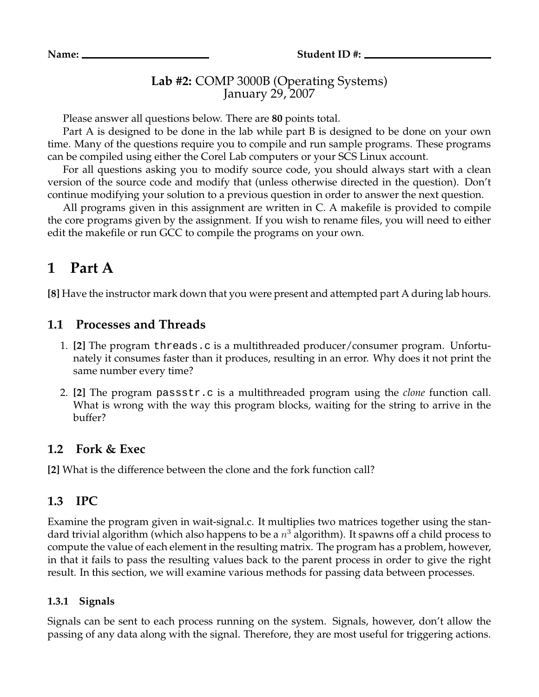## **Lab #2:** COMP 3000B (Operating Systems) January 29, 2007

Please answer all questions below. There are **80** points total.

Part A is designed to be done in the lab while part B is designed to be done on your own time. Many of the questions require you to compile and run sample programs. These programs can be compiled using either the Corel Lab computers or your SCS Linux account.

For all questions asking you to modify source code, you should always start with a clean version of the source code and modify that (unless otherwise directed in the question). Don't continue modifying your solution to a previous question in order to answer the next question.

All programs given in this assignment are written in C. A makefile is provided to compile the core programs given by the assignment. If you wish to rename files, you will need to either edit the makefile or run GCC to compile the programs on your own.

# **1 Part A**

**[8]** Have the instructor mark down that you were present and attempted part A during lab hours.

## **1.1 Processes and Threads**

- 1. **[2]** The program threads.c is a multithreaded producer/consumer program. Unfortunately it consumes faster than it produces, resulting in an error. Why does it not print the same number every time?
- 2. **[2]** The program passstr.c is a multithreaded program using the *clone* function call. What is wrong with the way this program blocks, waiting for the string to arrive in the buffer?

## **1.2 Fork & Exec**

**[2]** What is the difference between the clone and the fork function call?

## **1.3 IPC**

Examine the program given in wait-signal.c. It multiplies two matrices together using the standard trivial algorithm (which also happens to be a  $n^3$  algorithm). It spawns off a child process to compute the value of each element in the resulting matrix. The program has a problem, however, in that it fails to pass the resulting values back to the parent process in order to give the right result. In this section, we will examine various methods for passing data between processes.

### **1.3.1 Signals**

Signals can be sent to each process running on the system. Signals, however, don't allow the passing of any data along with the signal. Therefore, they are most useful for triggering actions.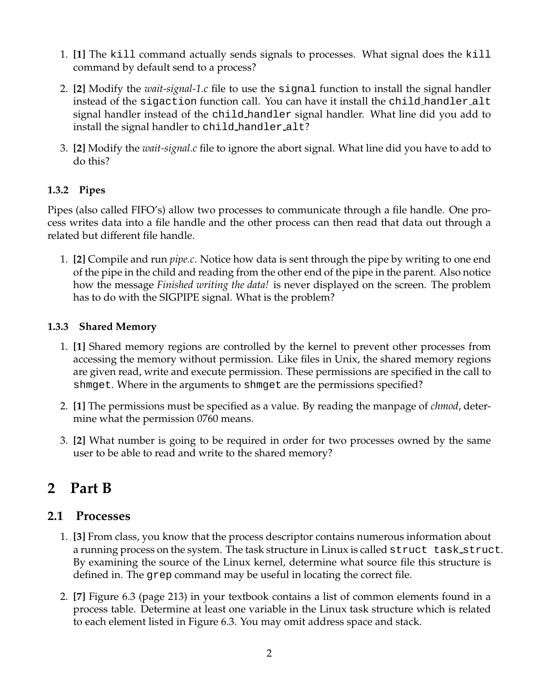- 1. **[1]** The kill command actually sends signals to processes. What signal does the kill command by default send to a process?
- 2. **[2]** Modify the *wait-signal-1.c* file to use the signal function to install the signal handler instead of the sigaction function call. You can have it install the child handler alt signal handler instead of the child handler signal handler. What line did you add to install the signal handler to child handler alt?
- 3. **[2]** Modify the *wait-signal.c* file to ignore the abort signal. What line did you have to add to do this?

### **1.3.2 Pipes**

Pipes (also called FIFO's) allow two processes to communicate through a file handle. One process writes data into a file handle and the other process can then read that data out through a related but different file handle.

1. **[2]** Compile and run *pipe.c*. Notice how data is sent through the pipe by writing to one end of the pipe in the child and reading from the other end of the pipe in the parent. Also notice how the message *Finished writing the data!* is never displayed on the screen. The problem has to do with the SIGPIPE signal. What is the problem?

### **1.3.3 Shared Memory**

- 1. **[1]** Shared memory regions are controlled by the kernel to prevent other processes from accessing the memory without permission. Like files in Unix, the shared memory regions are given read, write and execute permission. These permissions are specified in the call to shmget. Where in the arguments to shmget are the permissions specified?
- 2. **[1]** The permissions must be specified as a value. By reading the manpage of *chmod*, determine what the permission 0760 means.
- 3. **[2]** What number is going to be required in order for two processes owned by the same user to be able to read and write to the shared memory?

# **2 Part B**

## **2.1 Processes**

- 1. **[3]** From class, you know that the process descriptor contains numerous information about a running process on the system. The task structure in Linux is called struct task struct. By examining the source of the Linux kernel, determine what source file this structure is defined in. The grep command may be useful in locating the correct file.
- 2. **[7]** Figure 6.3 (page 213) in your textbook contains a list of common elements found in a process table. Determine at least one variable in the Linux task structure which is related to each element listed in Figure 6.3. You may omit address space and stack.